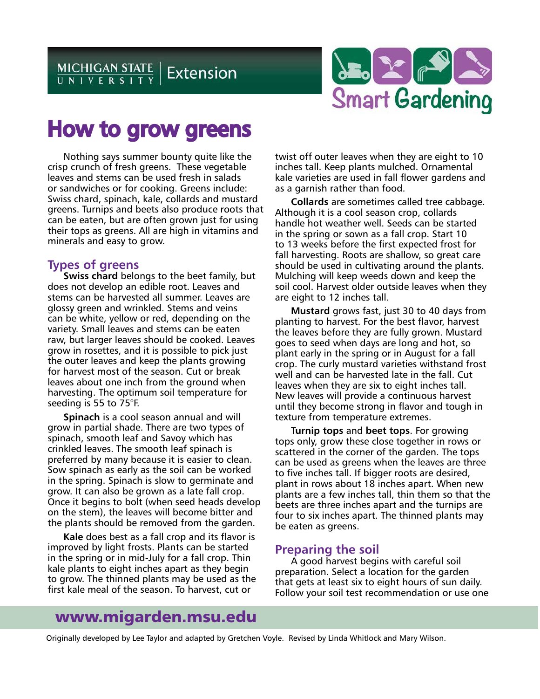

# How to grow greens

Nothing says summer bounty quite like the crisp crunch of fresh greens. These vegetable leaves and stems can be used fresh in salads or sandwiches or for cooking. Greens include: Swiss chard, spinach, kale, collards and mustard greens. Turnips and beets also produce roots that can be eaten, but are often grown just for using their tops as greens. All are high in vitamins and minerals and easy to grow.

## **Types of greens**

**Swiss chard** belongs to the beet family, but does not develop an edible root. Leaves and stems can be harvested all summer. Leaves are glossy green and wrinkled. Stems and veins can be white, yellow or red, depending on the variety. Small leaves and stems can be eaten raw, but larger leaves should be cooked. Leaves grow in rosettes, and it is possible to pick just the outer leaves and keep the plants growing for harvest most of the season. Cut or break leaves about one inch from the ground when harvesting. The optimum soil temperature for seeding is 55 to 75°F.

**Spinach** is a cool season annual and will grow in partial shade. There are two types of spinach, smooth leaf and Savoy which has crinkled leaves. The smooth leaf spinach is preferred by many because it is easier to clean. Sow spinach as early as the soil can be worked in the spring. Spinach is slow to germinate and grow. It can also be grown as a late fall crop. Once it begins to bolt (when seed heads develop on the stem), the leaves will become bitter and the plants should be removed from the garden.

**Kale** does best as a fall crop and its flavor is improved by light frosts. Plants can be started in the spring or in mid-July for a fall crop. Thin kale plants to eight inches apart as they begin to grow. The thinned plants may be used as the first kale meal of the season. To harvest, cut or

twist off outer leaves when they are eight to 10 inches tall. Keep plants mulched. Ornamental kale varieties are used in fall flower gardens and as a garnish rather than food.

**Collards** are sometimes called tree cabbage. Although it is a cool season crop, collards handle hot weather well. Seeds can be started in the spring or sown as a fall crop. Start 10 to 13 weeks before the first expected frost for fall harvesting. Roots are shallow, so great care should be used in cultivating around the plants. Mulching will keep weeds down and keep the soil cool. Harvest older outside leaves when they are eight to 12 inches tall.

**Mustard** grows fast, just 30 to 40 days from planting to harvest. For the best flavor, harvest the leaves before they are fully grown. Mustard goes to seed when days are long and hot, so plant early in the spring or in August for a fall crop. The curly mustard varieties withstand frost well and can be harvested late in the fall. Cut leaves when they are six to eight inches tall. New leaves will provide a continuous harvest until they become strong in flavor and tough in texture from temperature extremes.

**Turnip tops** and **beet tops**. For growing tops only, grow these close together in rows or scattered in the corner of the garden. The tops can be used as greens when the leaves are three to five inches tall. If bigger roots are desired, plant in rows about 18 inches apart. When new plants are a few inches tall, thin them so that the beets are three inches apart and the turnips are four to six inches apart. The thinned plants may be eaten as greens.

# **Preparing the soil**

A good harvest begins with careful soil preparation. Select a location for the garden that gets at least six to eight hours of sun daily. Follow your soil test recommendation or use one

# www.migarden.msu.edu

Originally developed by Lee Taylor and adapted by Gretchen Voyle. Revised by Linda Whitlock and Mary Wilson.